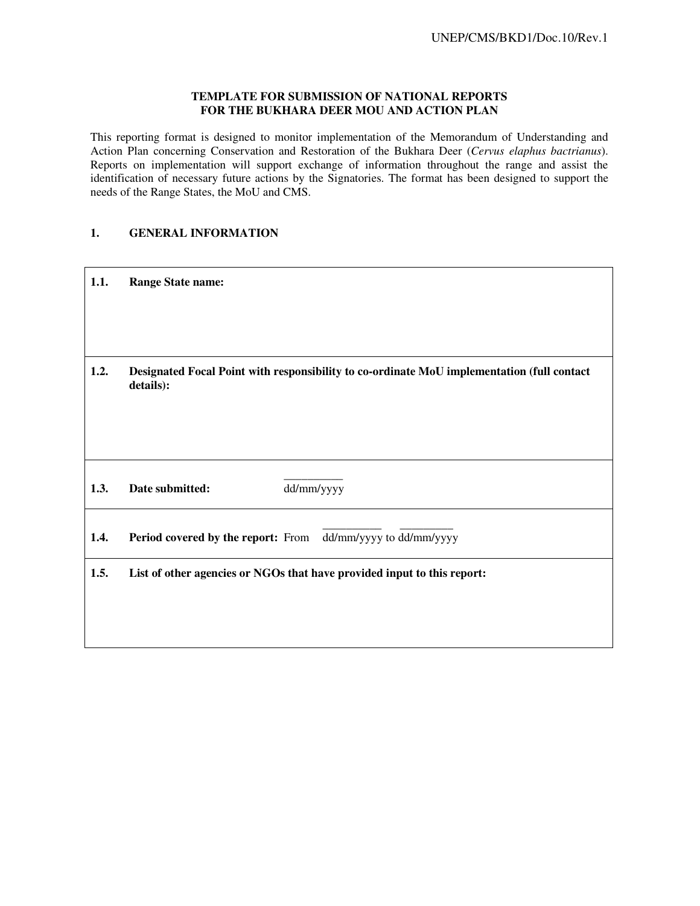#### **TEMPLATE FOR SUBMISSION OF NATIONAL REPORTS FOR THE BUKHARA DEER MOU AND ACTION PLAN**

This reporting format is designed to monitor implementation of the Memorandum of Understanding and Action Plan concerning Conservation and Restoration of the Bukhara Deer (*Cervus elaphus bactrianus*). Reports on implementation will support exchange of information throughout the range and assist the identification of necessary future actions by the Signatories. The format has been designed to support the needs of the Range States, the MoU and CMS.

### **1. GENERAL INFORMATION**

| 1.1. | <b>Range State name:</b>                                                                                |
|------|---------------------------------------------------------------------------------------------------------|
|      |                                                                                                         |
| 1.2. | Designated Focal Point with responsibility to co-ordinate MoU implementation (full contact<br>details): |
|      |                                                                                                         |
| 1.3. | dd/mm/yyyy<br>Date submitted:                                                                           |
| 1.4. | dd/mm/yyyy to dd/mm/yyyy<br><b>Period covered by the report:</b> From                                   |
| 1.5. | List of other agencies or NGOs that have provided input to this report:                                 |
|      |                                                                                                         |
|      |                                                                                                         |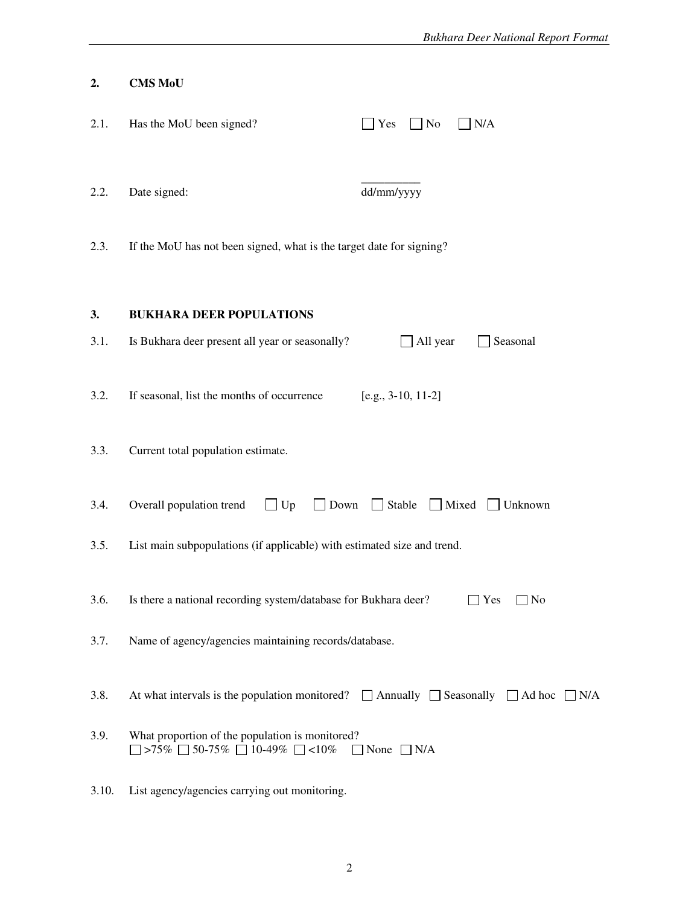|       | <b>Bukhara Deer National Report Format</b>                                                                                       |
|-------|----------------------------------------------------------------------------------------------------------------------------------|
| 2.    | <b>CMS MoU</b>                                                                                                                   |
| 2.1.  | Has the MoU been signed?<br>$\Box$ N/A<br>$\mathbf{Yes}$<br>$\Box$ No                                                            |
| 2.2.  | dd/mm/yyyy<br>Date signed:                                                                                                       |
| 2.3.  | If the MoU has not been signed, what is the target date for signing?                                                             |
| 3.    | <b>BUKHARA DEER POPULATIONS</b>                                                                                                  |
| 3.1.  | Is Bukhara deer present all year or seasonally?<br>All year<br>Seasonal                                                          |
| 3.2.  | If seasonal, list the months of occurrence<br>$[e.g., 3-10, 11-2]$                                                               |
| 3.3.  | Current total population estimate.                                                                                               |
| 3.4.  | Down $\Box$ Stable $\Box$ Mixed $\Box$ Unknown<br>Overall population trend<br>$\Box$ Up                                          |
| 3.5.  | List main subpopulations (if applicable) with estimated size and trend.                                                          |
| 3.6.  | Is there a national recording system/database for Bukhara deer?<br>$\Box$ Yes<br>$\neg$ No                                       |
| 3.7.  | Name of agency/agencies maintaining records/database.                                                                            |
| 3.8.  | At what intervals is the population monitored? $\Box$ Annually $\Box$ Seasonally $\Box$ Ad hoc $\Box$ N/A                        |
| 3.9.  | What proportion of the population is monitored?<br>$\Box$ >75% $\Box$ 50-75% $\Box$ 10-49% $\Box$ <10%<br>$\Box$ None $\Box$ N/A |
| 3.10. | List agency/agencies carrying out monitoring.                                                                                    |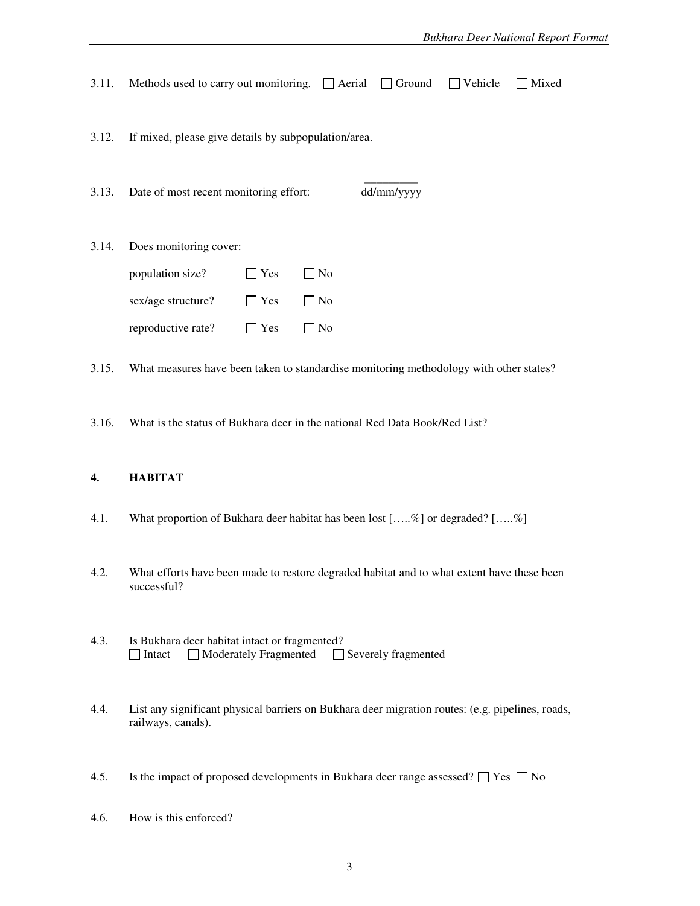| 3.11. | Methods used to carry out monitoring. $\Box$ Aerial<br>Vehicle<br>$\Box$ Ground<br>Mixed |  |  |  |  |  |  |  |
|-------|------------------------------------------------------------------------------------------|--|--|--|--|--|--|--|
| 3.12. | If mixed, please give details by subpopulation/area.                                     |  |  |  |  |  |  |  |
| 3.13. | dd/mm/yyyy<br>Date of most recent monitoring effort:                                     |  |  |  |  |  |  |  |
| 3.14. | Does monitoring cover:                                                                   |  |  |  |  |  |  |  |
|       | population size?<br>Yes<br>∏No                                                           |  |  |  |  |  |  |  |
|       | sex/age structure?<br>$\Box$ No<br>$\Box$ Yes                                            |  |  |  |  |  |  |  |
|       | reproductive rate?<br>N <sub>o</sub><br>Yes                                              |  |  |  |  |  |  |  |
| 3.15. | What measures have been taken to standardise monitoring methodology with other states?   |  |  |  |  |  |  |  |
| 3.16. | What is the status of Bukhara deer in the national Red Data Book/Red List?               |  |  |  |  |  |  |  |

# **4. HABITAT**

- 4.1. What proportion of Bukhara deer habitat has been lost […..%] or degraded? […..%]
- 4.2. What efforts have been made to restore degraded habitat and to what extent have these been successful?
- 4.3. Is Bukhara deer habitat intact or fragmented?<br> $\Box$  Intact  $\Box$  Moderately Fragmented  $\Box$  $\Box$  Moderately Fragmented  $\Box$  Severely fragmented
- 4.4. List any significant physical barriers on Bukhara deer migration routes: (e.g. pipelines, roads, railways, canals).
- 4.5. Is the impact of proposed developments in Bukhara deer range assessed?  $\Box$  Yes  $\Box$  No
- 4.6. How is this enforced?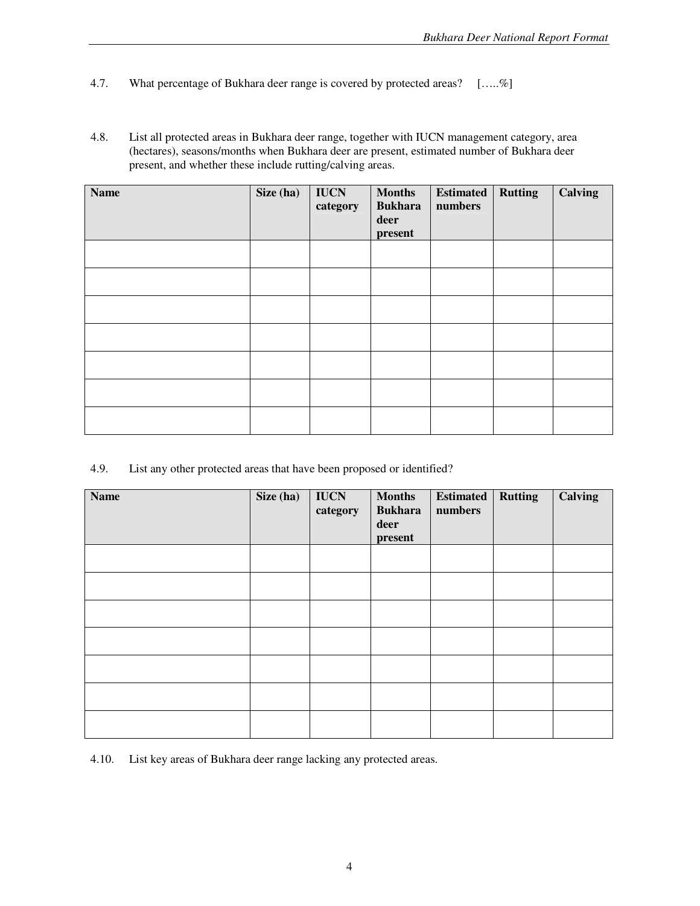- 4.7. What percentage of Bukhara deer range is covered by protected areas?  $[\dots, \%]$
- 4.8. List all protected areas in Bukhara deer range, together with IUCN management category, area (hectares), seasons/months when Bukhara deer are present, estimated number of Bukhara deer present, and whether these include rutting/calving areas.

| <b>Name</b> | Size (ha) | <b>IUCN</b><br>category | <b>Months</b><br><b>Bukhara</b><br>deer<br>present | Estimated<br>numbers | <b>Rutting</b> | <b>Calving</b> |
|-------------|-----------|-------------------------|----------------------------------------------------|----------------------|----------------|----------------|
|             |           |                         |                                                    |                      |                |                |
|             |           |                         |                                                    |                      |                |                |
|             |           |                         |                                                    |                      |                |                |
|             |           |                         |                                                    |                      |                |                |
|             |           |                         |                                                    |                      |                |                |
|             |           |                         |                                                    |                      |                |                |
|             |           |                         |                                                    |                      |                |                |

4.9. List any other protected areas that have been proposed or identified?

| <b>Name</b> | Size (ha) | <b>IUCN</b><br>category | <b>Months</b><br><b>Bukhara</b><br>deer<br>present | <b>Estimated</b><br>numbers | <b>Rutting</b> | <b>Calving</b> |
|-------------|-----------|-------------------------|----------------------------------------------------|-----------------------------|----------------|----------------|
|             |           |                         |                                                    |                             |                |                |
|             |           |                         |                                                    |                             |                |                |
|             |           |                         |                                                    |                             |                |                |
|             |           |                         |                                                    |                             |                |                |
|             |           |                         |                                                    |                             |                |                |
|             |           |                         |                                                    |                             |                |                |
|             |           |                         |                                                    |                             |                |                |

4.10. List key areas of Bukhara deer range lacking any protected areas.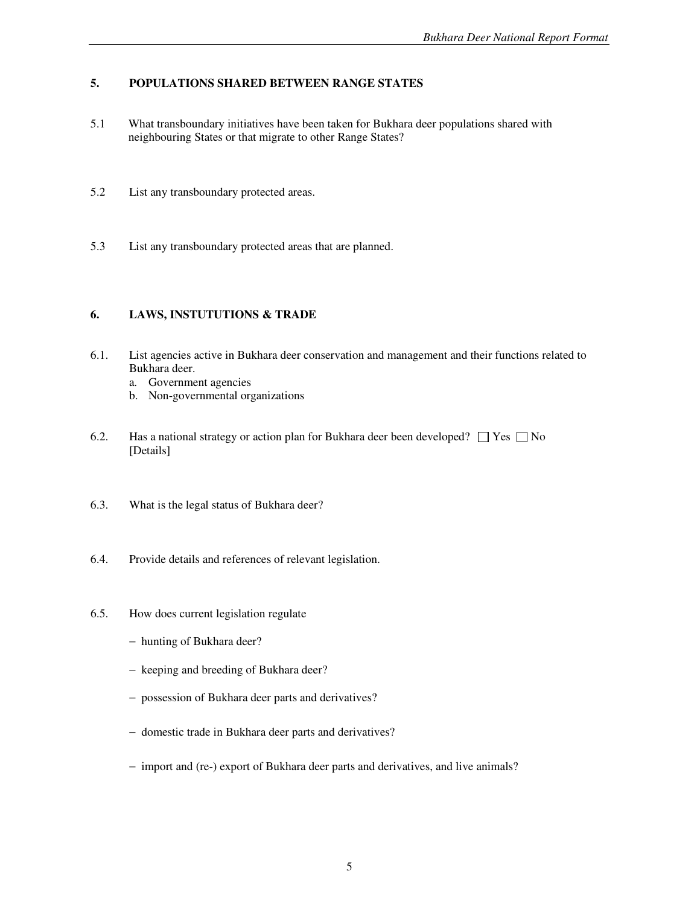### **5. POPULATIONS SHARED BETWEEN RANGE STATES**

- 5.1 What transboundary initiatives have been taken for Bukhara deer populations shared with neighbouring States or that migrate to other Range States?
- 5.2 List any transboundary protected areas.
- 5.3 List any transboundary protected areas that are planned.

## **6. LAWS, INSTUTUTIONS & TRADE**

- 6.1. List agencies active in Bukhara deer conservation and management and their functions related to Bukhara deer.
	- a. Government agencies
	- b. Non-governmental organizations
- 6.2. Has a national strategy or action plan for Bukhara deer been developed?  $\Box$  Yes  $\Box$  No [Details]
- 6.3. What is the legal status of Bukhara deer?
- 6.4. Provide details and references of relevant legislation.
- 6.5. How does current legislation regulate
	- − hunting of Bukhara deer?
	- − keeping and breeding of Bukhara deer?
	- − possession of Bukhara deer parts and derivatives?
	- − domestic trade in Bukhara deer parts and derivatives?
	- − import and (re-) export of Bukhara deer parts and derivatives, and live animals?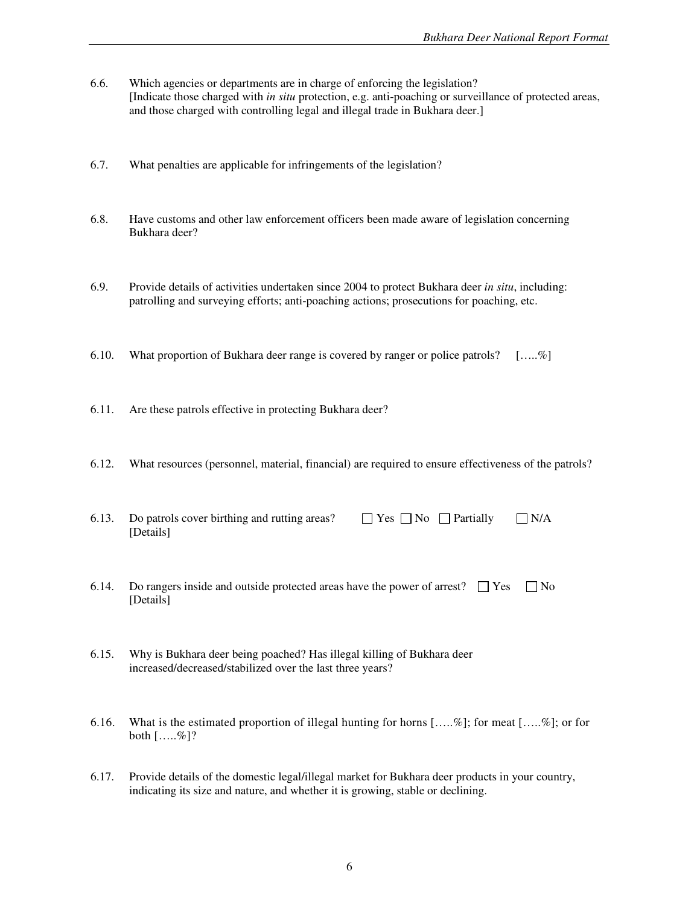- 6.6. Which agencies or departments are in charge of enforcing the legislation? [Indicate those charged with *in situ* protection, e.g. anti-poaching or surveillance of protected areas, and those charged with controlling legal and illegal trade in Bukhara deer.]
- 6.7. What penalties are applicable for infringements of the legislation?
- 6.8. Have customs and other law enforcement officers been made aware of legislation concerning Bukhara deer?
- 6.9. Provide details of activities undertaken since 2004 to protect Bukhara deer *in situ*, including: patrolling and surveying efforts; anti-poaching actions; prosecutions for poaching, etc.
- 6.10. What proportion of Bukhara deer range is covered by ranger or police patrols?  $[\dots, \%]$
- 6.11. Are these patrols effective in protecting Bukhara deer?
- 6.12. What resources (personnel, material, financial) are required to ensure effectiveness of the patrols?
- 6.13. Do patrols cover birthing and rutting areas?  $\Box$  Yes  $\Box$  No  $\Box$  Partially  $\Box$  N/A [Details]
- 6.14. Do rangers inside and outside protected areas have the power of arrest?  $\Box$  Yes  $\Box$  No [Details]
- 6.15. Why is Bukhara deer being poached? Has illegal killing of Bukhara deer increased/decreased/stabilized over the last three years?
- 6.16. What is the estimated proportion of illegal hunting for horns  $[....\%]$ ; for meat  $[....\%]$ ; or for both  $[....\%]$ ?
- 6.17. Provide details of the domestic legal/illegal market for Bukhara deer products in your country, indicating its size and nature, and whether it is growing, stable or declining.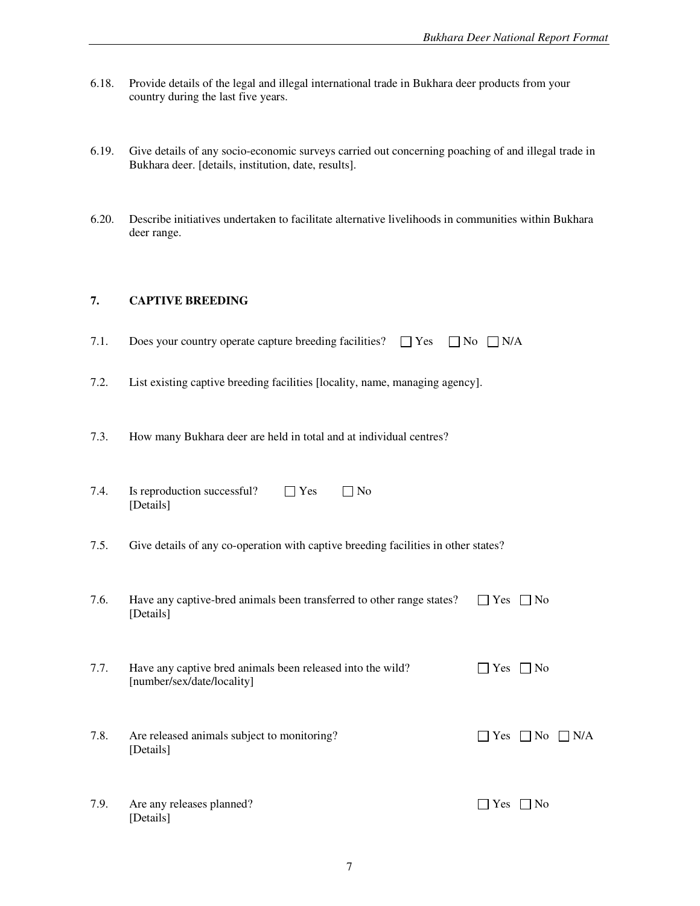- 6.18. Provide details of the legal and illegal international trade in Bukhara deer products from your country during the last five years.
- 6.19. Give details of any socio-economic surveys carried out concerning poaching of and illegal trade in Bukhara deer. [details, institution, date, results].
- 6.20. Describe initiatives undertaken to facilitate alternative livelihoods in communities within Bukhara deer range.

#### **7. CAPTIVE BREEDING**

- 7.1. Does your country operate capture breeding facilities?  $\Box$  Yes  $\Box$  No  $\Box$  N/A
- 7.2. List existing captive breeding facilities [locality, name, managing agency].
- 7.3. How many Bukhara deer are held in total and at individual centres?

| 7.4. | Is reproduction successful? | $\Box$ Yes | $\Box$ No |
|------|-----------------------------|------------|-----------|
|      | [Details]                   |            |           |

- 7.5. Give details of any co-operation with captive breeding facilities in other states?
- 7.6. Have any captive-bred animals been transferred to other range states?  $\Box$  Yes  $\Box$  No [Details]
- 7.7. Have any captive bred animals been released into the wild?  $\Box$  Yes  $\Box$  No [number/sex/date/locality]
- 7.8. Are released animals subject to monitoring?  $\Box$  Yes  $\Box$  No  $\Box$  N/A [Details]
- 7.9. Are any releases planned?  $\Box$  Yes  $\Box$  No [Details]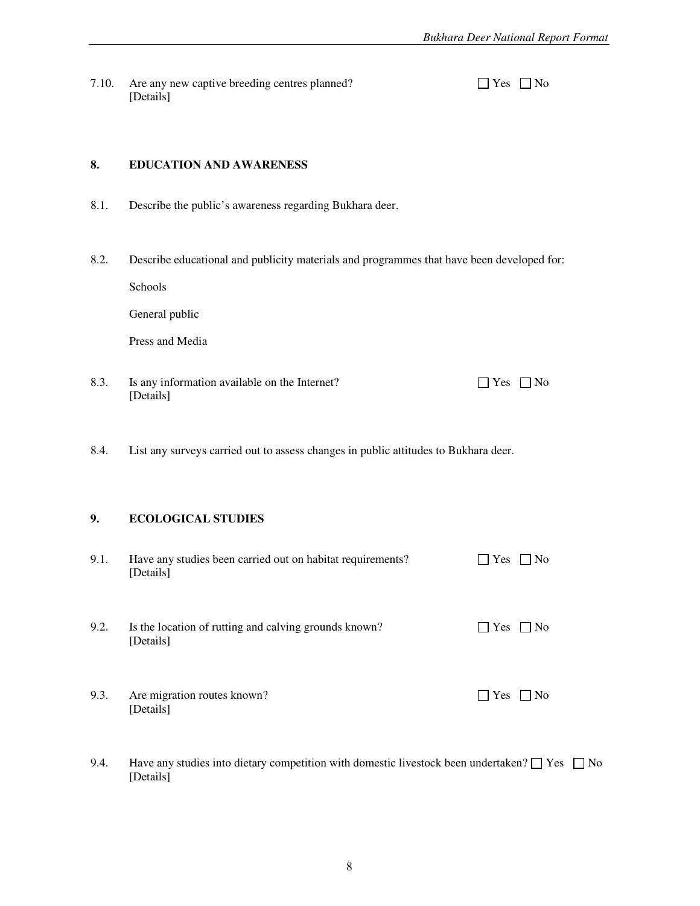7.10. Are any new captive breeding centres planned? [Details]

| ٠ |  |
|---|--|
|---|--|

## **8. EDUCATION AND AWARENESS**

- 8.1. Describe the public's awareness regarding Bukhara deer.
- 8.2. Describe educational and publicity materials and programmes that have been developed for:

Schools

General public

Press and Media

- 8.3. Is any information available on the Internet?  $\Box$  Yes  $\Box$  No [Details]
- 8.4. List any surveys carried out to assess changes in public attitudes to Bukhara deer.

### **9. ECOLOGICAL STUDIES**

[Details]

| 9.1. | Have any studies been carried out on habitat requirements?<br>[Details] | $\Box$ Yes<br>$\Box$ No  |
|------|-------------------------------------------------------------------------|--------------------------|
| 9.2. | Is the location of rutting and calving grounds known?<br>[Details]      | $\Box$ Yes<br>$\perp$ No |
| 9.3. | Are migration routes known?                                             | Yes<br>N <sub>0</sub>    |

9.4. Have any studies into dietary competition with domestic livestock been undertaken?  $\Box$  Yes  $\Box$  No [Details]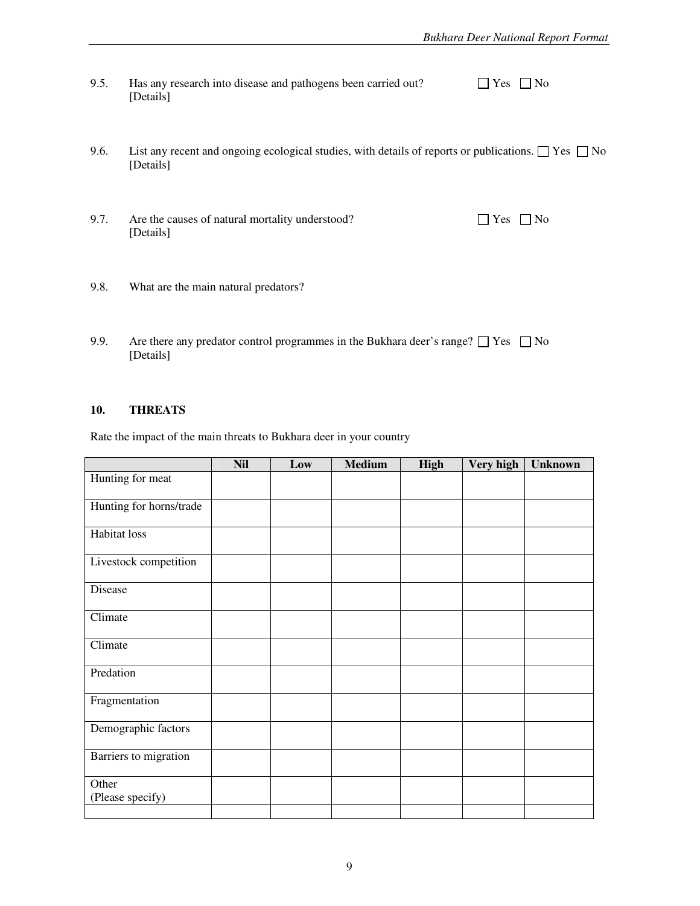| 9.5. | Has any research into disease and pathogens been carried out? | $\Box$ Yes $\Box$ No |  |
|------|---------------------------------------------------------------|----------------------|--|
|      | [Details]                                                     |                      |  |

- 9.6. List any recent and ongoing ecological studies, with details of reports or publications.  $\Box$  Yes  $\Box$  No [Details]
- 9.7. Are the causes of natural mortality understood?  $\Box$  Yes  $\Box$  No [Details]
- 9.8. What are the main natural predators?
- 9.9. Are there any predator control programmes in the Bukhara deer's range?  $\Box$  Yes  $\Box$  No [Details]

### **10. THREATS**

Rate the impact of the main threats to Bukhara deer in your country

|                           | <b>Nil</b> | Low | <b>Medium</b> | High | Very high | <b>Unknown</b> |
|---------------------------|------------|-----|---------------|------|-----------|----------------|
| Hunting for meat          |            |     |               |      |           |                |
| Hunting for horns/trade   |            |     |               |      |           |                |
| Habitat loss              |            |     |               |      |           |                |
| Livestock competition     |            |     |               |      |           |                |
| Disease                   |            |     |               |      |           |                |
| Climate                   |            |     |               |      |           |                |
| Climate                   |            |     |               |      |           |                |
| Predation                 |            |     |               |      |           |                |
| Fragmentation             |            |     |               |      |           |                |
| Demographic factors       |            |     |               |      |           |                |
| Barriers to migration     |            |     |               |      |           |                |
| Other<br>(Please specify) |            |     |               |      |           |                |
|                           |            |     |               |      |           |                |